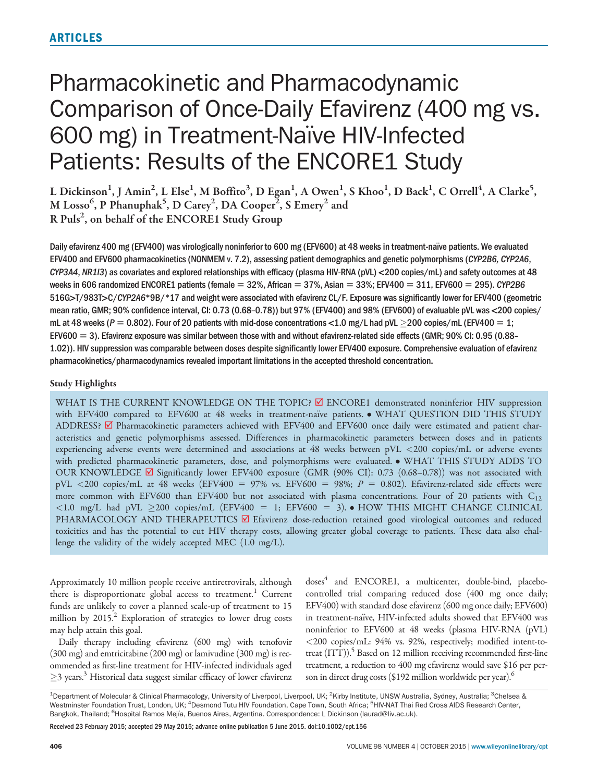# Pharmacokinetic and Pharmacodynamic Comparison of Once-Daily Efavirenz (400 mg vs. 600 mg) in Treatment-Naïve HIV-Infected Patients: Results of the ENCORE1 Study

L Dickinson $^1$ , J Amin $^2$ , L Else $^1$ , M Boffito $^3$ , D Egan $^1$ , A Owen $^1$ , S Khoo $^1$ , D Back $^1$ , C Orrell $^4$ , A Clarke $^5$ , M Losso<sup>6</sup>, P Phanuphak<sup>5</sup>, D Carey<sup>2</sup>, DA Cooper<sup>2</sup>, S Emery<sup>2</sup> and R Puls<sup>2</sup>, on behalf of the ENCORE1 Study Group

Daily efavirenz 400 mg (EFV400) was virologically noninferior to 600 mg (EFV600) at 48 weeks in treatment-naïve patients. We evaluated EFV400 and EFV600 pharmacokinetics (NONMEM v. 7.2), assessing patient demographics and genetic polymorphisms (CYP2B6, CYP2A6, CYP3A4, NR1I3) as covariates and explored relationships with efficacy (plasma HIV-RNA (pVL) <200 copies/mL) and safety outcomes at 48 weeks in 606 randomized ENCORE1 patients (female =  $32\%$ , African =  $37\%$ , Asian =  $33\%$ ; EFV400 =  $311$ , EFV600 =  $295$ ). CYP2B6 516G>T/983T>C/CYP2A6\*9B/\*17 and weight were associated with efavirenz CL/F. Exposure was significantly lower for EFV400 (geometric mean ratio, GMR; 90% confidence interval, CI: 0.73 (0.68–0.78)) but 97% (EFV400) and 98% (EFV600) of evaluable pVL was <200 copies/ mL at 48 weeks (P  $= 0.802$ ). Four of 20 patients with mid-dose concentrations <1.0 mg/L had pVL  $\geq$ 200 copies/mL (EFV400  $= 1;$  $E$ FV600 = 3). Efavirenz exposure was similar between those with and without efavirenz-related side effects (GMR; 90% CI: 0.95 (0.88– 1.02)). HIV suppression was comparable between doses despite significantly lower EFV400 exposure. Comprehensive evaluation of efavirenz pharmacokinetics/pharmacodynamics revealed important limitations in the accepted threshold concentration.

# Study Highlights

WHAT IS THE CURRENT KNOWLEDGE ON THE TOPIC? Ø ENCORE1 demonstrated noninferior HIV suppression with EFV400 compared to EFV600 at 48 weeks in treatment-naïve patients. • WHAT QUESTION DID THIS STUDY ADDRESS? Ø Pharmacokinetic parameters achieved with EFV400 and EFV600 once daily were estimated and patient characteristics and genetic polymorphisms assessed. Differences in pharmacokinetic parameters between doses and in patients experiencing adverse events were determined and associations at 48 weeks between pVL <200 copies/mL or adverse events with predicted pharmacokinetic parameters, dose, and polymorphisms were evaluated. • WHAT THIS STUDY ADDS TO OUR KNOWLEDGE Ø Significantly lower EFV400 exposure (GMR (90% CI): 0.73 (0.68-0.78)) was not associated with pVL <200 copies/mL at 48 weeks (EFV400 = 97% vs. EFV600 = 98%;  $P = 0.802$ ). Efavirenz-related side effects were more common with EFV600 than EFV400 but not associated with plasma concentrations. Four of 20 patients with C<sub>12</sub>  $\langle$ 1.0 mg/L had pVL  $\geq$ 200 copies/mL (EFV400 = 1; EFV600 = 3). • HOW THIS MIGHT CHANGE CLINICAL PHARMACOLOGY AND THERAPEUTICS Ø Efavirenz dose-reduction retained good virological outcomes and reduced toxicities and has the potential to cut HIV therapy costs, allowing greater global coverage to patients. These data also challenge the validity of the widely accepted MEC (1.0 mg/L).

Approximately 10 million people receive antiretrovirals, although there is disproportionate global access to treatment.<sup>1</sup> Current funds are unlikely to cover a planned scale-up of treatment to 15 million by  $2015<sup>2</sup>$  Exploration of strategies to lower drug costs may help attain this goal.

Daily therapy including efavirenz (600 mg) with tenofovir (300 mg) and emtricitabine (200 mg) or lamivudine (300 mg) is recommended as first-line treatment for HIV-infected individuals aged  $\geq$ 3 years.<sup>3</sup> Historical data suggest similar efficacy of lower efavirenz

doses<sup>4</sup> and ENCORE1, a multicenter, double-bind, placebocontrolled trial comparing reduced dose (400 mg once daily; EFV400) with standard dose efavirenz (600 mg once daily; EFV600) in treatment-naïve, HIV-infected adults showed that EFV400 was noninferior to EFV600 at 48 weeks (plasma HIV-RNA (pVL) <200 copies/mL: 94% vs. 92%, respectively; modified intent-totreat  $(TTT)$ .<sup>5</sup> Based on 12 million receiving recommended first-line treatment, a reduction to 400 mg efavirenz would save \$16 per person in direct drug costs (\$192 million worldwide per year).<sup>6</sup>

Received 23 February 2015; accepted 29 May 2015; advance online publication 5 June 2015. doi:10.1002/cpt.156

<sup>&</sup>lt;sup>1</sup>Department of Molecular & Clinical Pharmacology, University of Liverpool, Liverpool, UK; <sup>2</sup>Kirby Institute, UNSW Australia, Sydney, Australia; <sup>3</sup>Chelsea & Westminster Foundation Trust, London, UK; <sup>4</sup>Desmond Tutu HIV Foundation, Cape Town, South Africa; <sup>5</sup>HIV-NAT Thai Red Cross AIDS Research Center, Bangkok, Thailand; <sup>6</sup>Hospital Ramos Mejía, Buenos Aires, Argentina. Correspondence: L Dickinson (laurad@liv.ac.uk).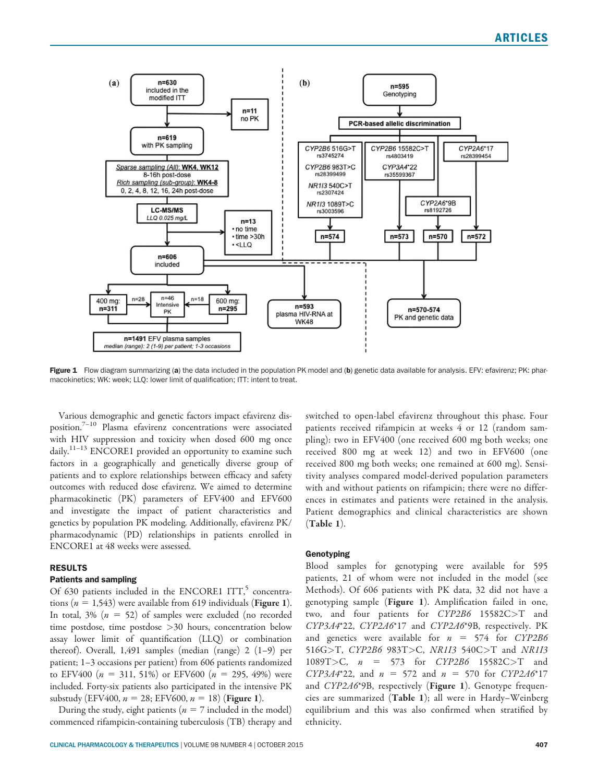

Figure 1 Flow diagram summarizing (a) the data included in the population PK model and (b) genetic data available for analysis. EFV: efavirenz; PK: pharmacokinetics; WK: week; LLQ: lower limit of qualification; ITT: intent to treat.

Various demographic and genetic factors impact efavirenz disposition.7–10 Plasma efavirenz concentrations were associated with HIV suppression and toxicity when dosed 600 mg once daily.<sup>11-13</sup> ENCORE1 provided an opportunity to examine such factors in a geographically and genetically diverse group of patients and to explore relationships between efficacy and safety outcomes with reduced dose efavirenz. We aimed to determine pharmacokinetic (PK) parameters of EFV400 and EFV600 and investigate the impact of patient characteristics and genetics by population PK modeling. Additionally, efavirenz PK/ pharmacodynamic (PD) relationships in patients enrolled in ENCORE1 at 48 weeks were assessed.

# RESULTS

# Patients and sampling

Of 630 patients included in the ENCORE1 ITT, $5$  concentrations ( $n = 1,543$ ) were available from 619 individuals (**Figure 1**). In total, 3% ( $n = 52$ ) of samples were excluded (no recorded time postdose, time postdose >30 hours, concentration below assay lower limit of quantification (LLQ) or combination thereof). Overall, 1,491 samples (median (range) 2 (1–9) per patient; 1–3 occasions per patient) from 606 patients randomized to EFV400 ( $n = 311, 51\%$ ) or EFV600 ( $n = 295, 49\%$ ) were included. Forty-six patients also participated in the intensive PK substudy (EFV400,  $n = 28$ ; EFV600,  $n = 18$ ) (Figure 1).

During the study, eight patients ( $n = 7$  included in the model) commenced rifampicin-containing tuberculosis (TB) therapy and switched to open-label efavirenz throughout this phase. Four patients received rifampicin at weeks 4 or 12 (random sampling): two in EFV400 (one received 600 mg both weeks; one received 800 mg at week 12) and two in EFV600 (one received 800 mg both weeks; one remained at 600 mg). Sensitivity analyses compared model-derived population parameters with and without patients on rifampicin; there were no differences in estimates and patients were retained in the analysis. Patient demographics and clinical characteristics are shown (Table 1).

# Genotyping

Blood samples for genotyping were available for 595 patients, 21 of whom were not included in the model (see Methods). Of 606 patients with PK data, 32 did not have a genotyping sample (Figure 1). Amplification failed in one, two, and four patients for CYP2B6 15582C>T and CYP3A4\*22, CYP2A6\*17 and CYP2A6\*9B, respectively. PK and genetics were available for  $n = 574$  for CYP2B6 516G>T, CYP2B6 983T>C, NR1I3 540C>T and NR1I3 1089T>C,  $n = 573$  for CYP2B6 15582C>T and CYP3A4\*22, and  $n = 572$  and  $n = 570$  for CYP2A6\*17 and CYP2A6\*9B, respectively (Figure 1). Genotype frequencies are summarized (Table 1); all were in Hardy–Weinberg equilibrium and this was also confirmed when stratified by ethnicity.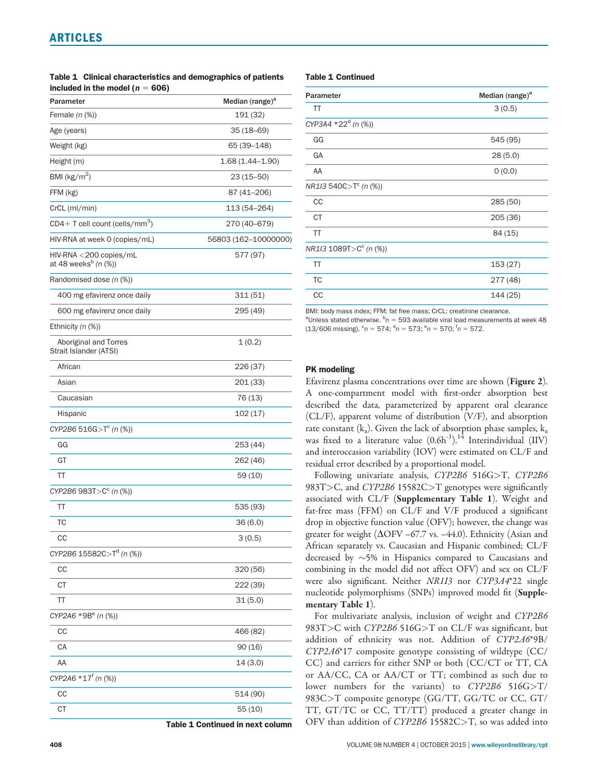Table 1 Clinical characteristics and demographics of patients included in the model ( $n = 606$ )

| Parameter                                            | Median (range) <sup>a</sup> |
|------------------------------------------------------|-----------------------------|
| Female $(n$ $(\%)$                                   | 191 (32)                    |
| Age (years)                                          | $35(18-69)$                 |
| Weight (kg)                                          | 65 (39-148)                 |
| Height (m)                                           | $1.68(1.44 - 1.90)$         |
| BMI ( $\text{kg/m}^2$ )                              | $23(15 - 50)$               |
| FFM (kg)                                             | 87 (41-206)                 |
| CrCL (ml/min)                                        | 113 (54-264)                |
| $CD4+T$ cell count (cells/mm <sup>3</sup> )          | 270 (40-679)                |
| HIV-RNA at week 0 (copies/mL)                        | 56803 (162-10000000)        |
| HIV-RNA <200 copies/mL<br>at 48 weeks $^{b}$ (n (%)) | 577 (97)                    |
| Randomised dose (n (%))                              |                             |
| 400 mg efavirenz once daily                          | 311(51)                     |
| 600 mg efavirenz once daily                          | 295 (49)                    |
| Ethnicity $(n \, (\%)$                               |                             |
| Aboriginal and Torres<br>Strait Islander (ATSI)      | 1(0.2)                      |
| African                                              | 226 (37)                    |
| Asian                                                | 201(33)                     |
| Caucasian                                            | 76 (13)                     |
| Hispanic                                             | 102 (17)                    |
| CYP2B6 516G>T° (n (%))                               |                             |
| GG                                                   | 253 (44)                    |
| GT                                                   | 262 (46)                    |
| <b>TT</b>                                            | 59(10)                      |
| CYP2B6 983T>C° (n (%))                               |                             |
| TT                                                   | 535 (93)                    |
| ТC                                                   | 36(6.0)                     |
| CC                                                   | 3(0.5)                      |
| CYP2B6 15582C>T <sup>d</sup> (n (%))                 |                             |
| CС                                                   | 320 (56)                    |
| <b>CT</b>                                            | 222 (39)                    |
| TT                                                   | 31(5.0)                     |
| CYP2A6 *9B <sup>e</sup> (n (%))                      |                             |
| CC                                                   | 466 (82)                    |
| CA                                                   | 90(16)                      |
| AA                                                   | 14(3.0)                     |
| CYP2A6 *17 <sup>f</sup> (n (%))                      |                             |
| CС                                                   | 514 (90)                    |
| CT                                                   | 55(10)                      |

Table 1 Continued in next column

#### Table 1 Continued

| Parameter                          | Median (range) <sup>a</sup> |
|------------------------------------|-----------------------------|
| TT                                 | 3(0.5)                      |
| CYP3A4 *22 <sup>d</sup> (n (%))    |                             |
| GG                                 | 545 (95)                    |
| GA                                 | 28(5.0)                     |
| AA                                 | 0(0.0)                      |
| NR1I3 540C>T <sup>c</sup> (n (%))  |                             |
| CC                                 | 285 (50)                    |
| <b>CT</b>                          | 205 (36)                    |
| <b>TT</b>                          | 84 (15)                     |
| NR1I3 1089T>C <sup>c</sup> (n (%)) |                             |
| TT                                 | 153(27)                     |
| TC                                 | 277 (48)                    |
| CC                                 | 144 (25)                    |
|                                    |                             |

BMI: body mass index; FFM: fat free mass; CrCL: creatinine clearance. <sup>a</sup>Unless stated otherwise.  $^{\text{b}}n = 593$  available viral load measurements at week 48  $(13/606 \text{ missing})$ .  ${}^c n = 574$ ;  ${}^d n = 573$ ;  ${}^e n = 570$ ;  ${}^f n = 572$ .

#### PK modeling

Efavirenz plasma concentrations over time are shown (Figure 2). A one-compartment model with first-order absorption best described the data, parameterized by apparent oral clearance (CL/F), apparent volume of distribution (V/F), and absorption rate constant  $(k_a)$ . Given the lack of absorption phase samples,  $k_a$ was fixed to a literature value  $(0.6h^{-1})$ .<sup>14</sup> Interindividual (IIV) and interoccasion variability (IOV) were estimated on CL/F and residual error described by a proportional model.

Following univariate analysis, CYP2B6 516G>T, CYP2B6 983T>C, and CYP2B6 15582C>T genotypes were significantly associated with CL/F (Supplementary Table 1). Weight and fat-free mass (FFM) on CL/F and V/F produced a significant drop in objective function value (OFV); however, the change was greater for weight ( $\Delta$ OFV –67.7 vs. –44.0). Ethnicity (Asian and African separately vs. Caucasian and Hispanic combined; CL/F decreased by  $\sim$ 5% in Hispanics compared to Caucasians and combining in the model did not affect OFV) and sex on CL/F were also significant. Neither NR1I3 nor CYP3A4\*22 single nucleotide polymorphisms (SNPs) improved model fit (Supplementary Table 1).

For multivariate analysis, inclusion of weight and CYP2B6 983T>C with CYP2B6 516G>T on CL/F was significant, but addition of ethnicity was not. Addition of CYP2A6\*9B/ CYP2A6\*17 composite genotype consisting of wildtype (CC/ CC) and carriers for either SNP or both (CC/CT or TT, CA or AA/CC, CA or AA/CT or TT; combined as such due to lower numbers for the variants) to CYP2B6 516G>T/ 983C>T composite genotype (GG/TT, GG/TC or CC, GT/ TT, GT/TC or CC, TT/TT) produced a greater change in OFV than addition of CYP2B6 15582C>T, so was added into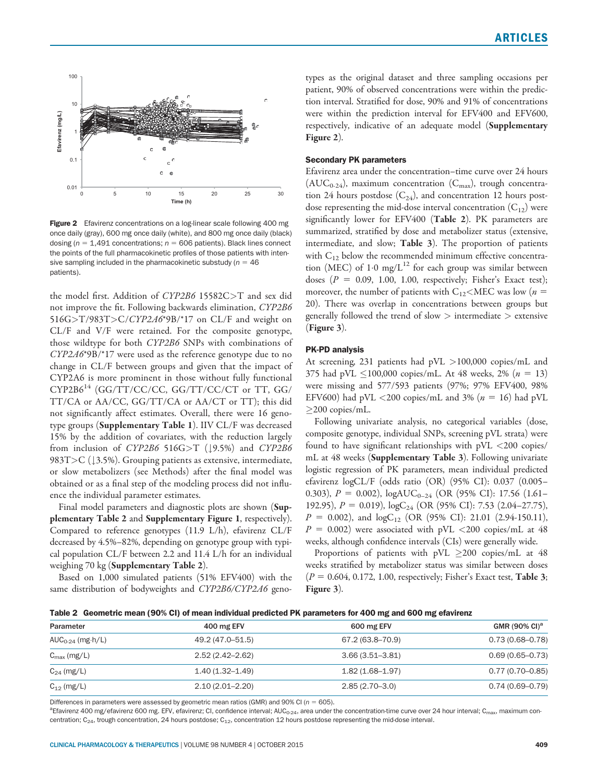

Figure 2 Efavirenz concentrations on a log-linear scale following 400 mg once daily (gray), 600 mg once daily (white), and 800 mg once daily (black) dosing ( $n = 1,491$  concentrations;  $n = 606$  patients). Black lines connect the points of the full pharmacokinetic profiles of those patients with intensive sampling included in the pharmacokinetic substudy ( $n = 46$ patients).

the model first. Addition of CYP2B6 15582C>T and sex did not improve the fit. Following backwards elimination, CYP2B6 516G>T/983T>C/CYP2A6\*9B/\*17 on CL/F and weight on CL/F and V/F were retained. For the composite genotype, those wildtype for both CYP2B6 SNPs with combinations of CYP2A6\*9B/\*17 were used as the reference genotype due to no change in CL/F between groups and given that the impact of CYP2A6 is more prominent in those without fully functional  $CYP2B6^{14}$  (GG/TT/CC/CC, GG/TT/CC/CT or TT, GG/ TT/CA or AA/CC, GG/TT/CA or AA/CT or TT); this did not significantly affect estimates. Overall, there were 16 genotype groups (Supplementary Table 1). IIV CL/F was decreased 15% by the addition of covariates, with the reduction largely from inclusion of  $CYP2B6$  516G>T ( $\downarrow$ 9.5%) and  $CYP2B6$  $983T>C$  ( $\downarrow$ 3.5%). Grouping patients as extensive, intermediate, or slow metabolizers (see Methods) after the final model was obtained or as a final step of the modeling process did not influence the individual parameter estimates.

Final model parameters and diagnostic plots are shown (Supplementary Table 2 and Supplementary Figure 1, respectively). Compared to reference genotypes (11.9 L/h), efavirenz CL/F decreased by 4.5%–82%, depending on genotype group with typical population CL/F between 2.2 and 11.4 L/h for an individual weighing 70 kg (Supplementary Table 2).

Based on 1,000 simulated patients (51% EFV400) with the same distribution of bodyweights and CYP2B6/CYP2A6 genotypes as the original dataset and three sampling occasions per patient, 90% of observed concentrations were within the prediction interval. Stratified for dose, 90% and 91% of concentrations were within the prediction interval for EFV400 and EFV600, respectively, indicative of an adequate model (Supplementary Figure 2).

# Secondary PK parameters

Efavirenz area under the concentration–time curve over 24 hours  $(AUC_{0-24})$ , maximum concentration  $(C_{max})$ , trough concentration 24 hours postdose  $(C_{24})$ , and concentration 12 hours postdose representing the mid-dose interval concentration  $(C_{12})$  were significantly lower for EFV400 (Table 2). PK parameters are summarized, stratified by dose and metabolizer status (extensive, intermediate, and slow; Table 3). The proportion of patients with C<sub>12</sub> below the recommended minimum effective concentration (MEC) of 1.0 mg/ $L^{12}$  for each group was similar between doses  $(P = 0.09, 1.00, 1.00,$  respectively; Fisher's Exact test); moreover, the number of patients with  $C_{12}$ <MEC was low (*n* = 20). There was overlap in concentrations between groups but generally followed the trend of slow  $>$  intermediate  $>$  extensive (Figure 3).

#### PK-PD analysis

At screening, 231 patients had pVL >100,000 copies/mL and 375 had pVL  $\leq$ 100,000 copies/mL. At 48 weeks, 2% (n = 13) were missing and 577/593 patients (97%; 97% EFV400, 98% EFV600) had pVL <200 copies/mL and 3% ( $n = 16$ ) had pVL ≥200 copies/mL.

Following univariate analysis, no categorical variables (dose, composite genotype, individual SNPs, screening pVL strata) were found to have significant relationships with pVL <200 copies/ mL at 48 weeks (Supplementary Table 3). Following univariate logistic regression of PK parameters, mean individual predicted efavirenz logCL/F (odds ratio (OR) (95% CI): 0.037 (0.005– 0.303),  $P = 0.002$ ), logAUC<sub>0–24</sub> (OR (95% CI): 17.56 (1.61– 192.95),  $P = 0.019$ ),  $logC_{24}$  (OR (95% CI): 7.53 (2.04–27.75),  $P = 0.002$ ), and  $logC_{12}$  (OR (95% CI): 21.01 (2.94-150.11),  $P = 0.002$ ) were associated with pVL <200 copies/mL at 48 weeks, although confidence intervals (CIs) were generally wide.

Proportions of patients with pVL  $\geq$ 200 copies/mL at 48 weeks stratified by metabolizer status was similar between doses  $(P = 0.604, 0.172, 1.00,$  respectively; Fisher's Exact test, Table 3; Figure 3).

Table 2 Geometric mean (90% CI) of mean individual predicted PK parameters for 400 mg and 600 mg efavirenz

| Parameter                     | 400 mg EFV          | 600 mg EFV          | GMR $(90\% \text{ Cl})^a$ |
|-------------------------------|---------------------|---------------------|---------------------------|
| $AUC_{0.24}$ (mg $\cdot$ h/L) | 49.2 (47.0–51.5)    | 67.2 (63.8–70.9)    | $0.73(0.68 - 0.78)$       |
| $C_{\text{max}}$ (mg/L)       | $2.52(2.42 - 2.62)$ | $3.66(3.51 - 3.81)$ | $0.69(0.65 - 0.73)$       |
| $C_{24}$ (mg/L)               | $1.40(1.32 - 1.49)$ | $1.82(1.68 - 1.97)$ | $0.77(0.70-0.85)$         |
| $C_{12}$ (mg/L)               | $2.10(2.01 - 2.20)$ | $2.85(2.70-3.0)$    | $0.74(0.69 - 0.79)$       |

Differences in parameters were assessed by geometric mean ratios (GMR) and 90% CI ( $n = 605$ ).

 ${}^a$ Efavirenz 400 mg/efavirenz 600 mg. EFV, efavirenz; CI, confidence interval; AUC<sub>0-24</sub>, area under the concentration-time curve over 24 hour interval; C<sub>max</sub>, maximum concentration;  $C_{24}$ , trough concentration, 24 hours postdose;  $C_{12}$ , concentration 12 hours postdose representing the mid-dose interval.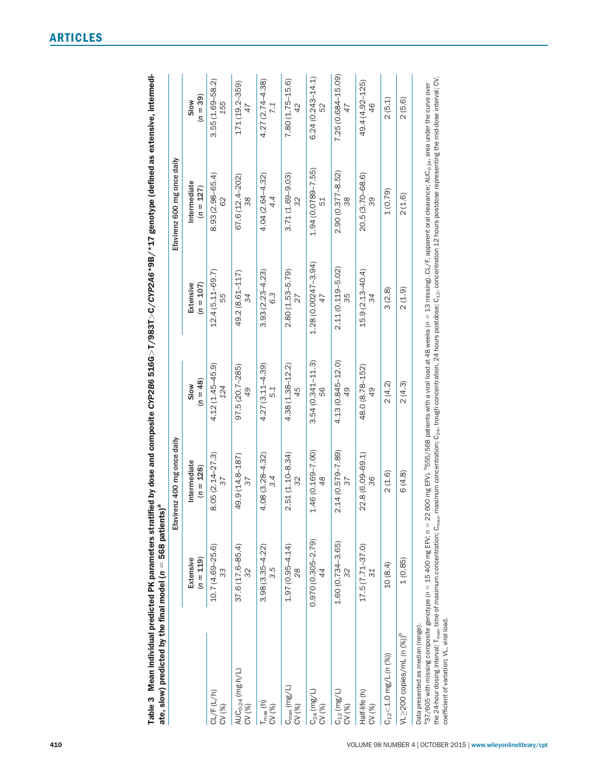|                                                                                                                                                                                                                                                                                                                                                                                                               |                                       | Efavirenz 400 mg once daily |                           |                                                                                                                                                                          | Efavirenz 600 mg once daily |                           |
|---------------------------------------------------------------------------------------------------------------------------------------------------------------------------------------------------------------------------------------------------------------------------------------------------------------------------------------------------------------------------------------------------------------|---------------------------------------|-----------------------------|---------------------------|--------------------------------------------------------------------------------------------------------------------------------------------------------------------------|-----------------------------|---------------------------|
|                                                                                                                                                                                                                                                                                                                                                                                                               | Extensive                             | Intermediate                | $(n = 48)$                | Extensive                                                                                                                                                                | Intermediate                | $(n = 39)$                |
|                                                                                                                                                                                                                                                                                                                                                                                                               | $(n = 119)$                           | $(n = 128)$                 | Slow                      | $(n = 107)$                                                                                                                                                              | $(n = 127)$                 | Slow                      |
| CL/F(L/h)                                                                                                                                                                                                                                                                                                                                                                                                     | 10.7 (4.69-25.6)                      | $8.05(2.14 - 27.3)$         | $4.12(1.45 - 45.9)$       | $12.4(5.11 - 69.7)$                                                                                                                                                      | $8.93(2.98 - 65.4)$         | $3.55(1.69 - 58.2)$       |
| CV (%)                                                                                                                                                                                                                                                                                                                                                                                                        | က္က                                   | 37                          | 124                       | 55                                                                                                                                                                       | $\mathcal{S}^{\mathcal{S}}$ | 155                       |
| AUC <sub>0-24</sub> (mg·h/L)                                                                                                                                                                                                                                                                                                                                                                                  | $37.6(17.6 - 85.4)$                   | 49.9 (14.8-187)             | $97.5(20.7 - 285)$        | 49.2 (8.61-117)                                                                                                                                                          | $67.6(12.4 - 202)$          | $171(19.2 - 359)$         |
| CV (%)                                                                                                                                                                                                                                                                                                                                                                                                        | $\frac{3}{2}$                         | 37                          | 49                        | 34                                                                                                                                                                       | 88                          | 47                        |
| $T_{\text{max}}(h)$                                                                                                                                                                                                                                                                                                                                                                                           | $3.98(3.35 - 4.22)$                   | $4.08(3.28 - 4.32)$         | $4.27(3.11 - 4.39)$       | $3.93(2.23 - 4.23)$                                                                                                                                                      | $4.04(2.64 - 4.32)$         | $4.27(2.74 - 4.38)$       |
| CV (%)                                                                                                                                                                                                                                                                                                                                                                                                        | 5.5<br>3.                             | 3.4                         |                           | ვ<br>დ                                                                                                                                                                   | 4.4                         | 71                        |
| $C_{\text{max}}$ (mg/L)<br>CV $\binom{96}{2}$                                                                                                                                                                                                                                                                                                                                                                 | $1.97(0.95 - 4.14)$<br>28             | $2.51(1.10 - 8.34)$<br>32   | $4.38(1.38 - 12.2)$<br>45 | $2.80(1.53 - 5.79)$                                                                                                                                                      | $3.71(1.69 - 9.03)$<br>32   | $7.80(1.75 - 15.6)$<br>42 |
| $C_{24}$ (mg/L)                                                                                                                                                                                                                                                                                                                                                                                               | $0.970(0.305 - 2.79)$                 | $.46(0.169 - 7.00)$         | $3.54(0.341 - 11.3)$      | $1.28(0.00247 - 3.94)$                                                                                                                                                   | $1.94(0.0789 - 7.55)$       | $6.24(0.243 - 14.1)$      |
| CV(%)                                                                                                                                                                                                                                                                                                                                                                                                         | 44                                    | 48                          | 99                        | 47                                                                                                                                                                       | 51                          | 52                        |
| $C_{12}$ (mg/L)<br>CV (%)                                                                                                                                                                                                                                                                                                                                                                                     | $1.60(0.734 - 3.65)$<br>$\frac{2}{3}$ | $2.14(0.579 - 7.89)$<br>37  | 4.13 (0.845-12.0)         | $2.11(0.119 - 5.02)$<br>35                                                                                                                                               | $2.90(0.377 - 8.52)$<br>38  | 7.25 (0.684-15.09)        |
| Half-life (h)                                                                                                                                                                                                                                                                                                                                                                                                 | $17.5(7.71 - 37.0)$                   | 22.8 (6.09-69.1)            | 48.0 (8.78-152)           | $15.9(2.13 - 40.4)$                                                                                                                                                      | 20.5 (3.70-68.6)            | 49.4 (4.92-125)           |
| CV (%)                                                                                                                                                                                                                                                                                                                                                                                                        | ವ                                     | 86                          | 49                        | 34                                                                                                                                                                       | 99                          | 46                        |
| $C_{12}$ < 1.0 mg/ L (n (%))                                                                                                                                                                                                                                                                                                                                                                                  | 10(8.4)                               | 2(1.6)                      | 2(4.2)                    | 3(2.8)                                                                                                                                                                   | (0.79)                      | 2(5.1)                    |
| VL≥200 copies/mL (n (%)) <sup>b</sup>                                                                                                                                                                                                                                                                                                                                                                         | 1(0.85)                               | 6(4.8)                      | 2(4.3)                    | (1.9)                                                                                                                                                                    | 2(1.6)                      | 2(5.6)                    |
| the 24-hour dosing interval; T <sub>max</sub> , time of maximum concentration; C <sub>rax</sub> , maximum concentration, C <sub>44</sub> , trough concentration, 24 hours postdose part allours postdose representing the mid-dose interval; CV<br>$37/605$ with missing composite genotype ( $n = 15$ 400 mg EFV; $n = 22$<br>coefficient of variation; VL, viral load.<br>Data presented as median (range). |                                       |                             |                           | 600 mg EFV). <sup>b</sup> 555/568 patients with a viral load at 48 weeks (n = 13 missing). CL/F, apparent oral clearance; AUC <sub>024</sub> , area under the curve over |                             |                           |

Table 3 Mean individual predicted PK parameters stratified by dose and composite CYP2B6 516G>T/983T>C/CYP2A6\*9B/\*17 genotype (defined as extensive, intermedi-Table 3 Mean individual predicted PK parameters stratified by dose and composite CYP2B6 516G>T/983T>C/CYP2A6\*9B/\*17 genotype (defined as extensive, intermediate, slow) predicted by the final model  $(n = 568$  patients)<sup>a</sup> ate, slow) predicted by the final model ( $n=568$  patients)<sup>a</sup>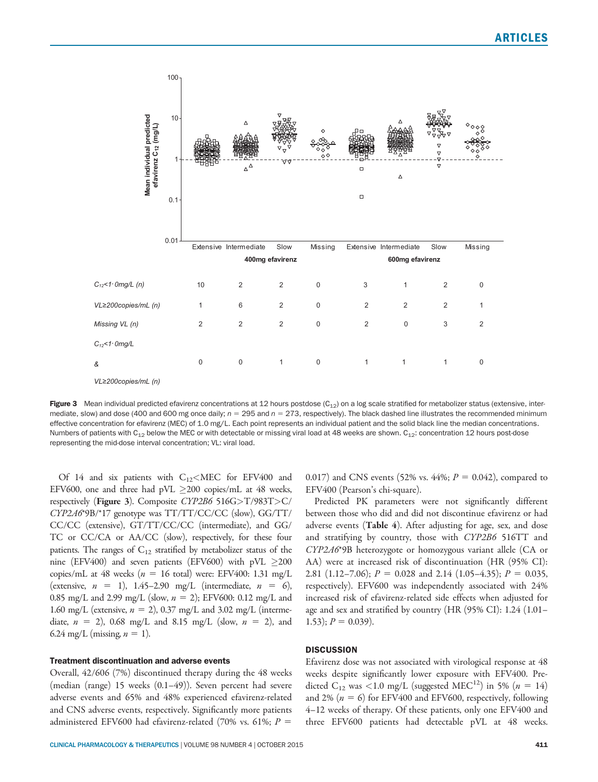

Figure 3 Mean individual predicted efavirenz concentrations at 12 hours postdose  $(C_{12})$  on a log scale stratified for metabolizer status (extensive, intermediate, slow) and dose (400 and 600 mg once daily;  $n = 295$  and  $n = 273$ , respectively). The black dashed line illustrates the recommended minimum effective concentration for efavirenz (MEC) of 1.0 mg/L. Each point represents an individual patient and the solid black line the median concentrations. Numbers of patients with C<sub>12</sub> below the MEC or with detectable or missing viral load at 48 weeks are shown. C<sub>12</sub>: concentration 12 hours post-dose representing the mid-dose interval concentration; VL: viral load.

Of 14 and six patients with  $C_{12}$ <MEC for EFV400 and EFV600, one and three had pVL  $\geq$ 200 copies/mL at 48 weeks, respectively (Figure 3). Composite CYP2B6 516G>T/983T>C/ CYP2A6\*9B/\*17 genotype was TT/TT/CC/CC (slow), GG/TT/ CC/CC (extensive), GT/TT/CC/CC (intermediate), and GG/ TC or CC/CA or AA/CC (slow), respectively, for these four patients. The ranges of  $C_{12}$  stratified by metabolizer status of the nine (EFV400) and seven patients (EFV600) with pVL  $\geq$ 200 copies/mL at 48 weeks ( $n = 16$  total) were: EFV400: 1.31 mg/L (extensive,  $n = 1$ ), 1.45–2.90 mg/L (intermediate,  $n = 6$ ), 0.85 mg/L and 2.99 mg/L (slow,  $n = 2$ ); EFV600: 0.12 mg/L and 1.60 mg/L (extensive,  $n = 2$ ), 0.37 mg/L and 3.02 mg/L (intermediate,  $n = 2$ ), 0.68 mg/L and 8.15 mg/L (slow,  $n = 2$ ), and 6.24 mg/L (missing,  $n = 1$ ).

#### Treatment discontinuation and adverse events

Overall, 42/606 (7%) discontinued therapy during the 48 weeks (median (range) 15 weeks (0.1–49)). Seven percent had severe adverse events and 65% and 48% experienced efavirenz-related and CNS adverse events, respectively. Significantly more patients administered EFV600 had efavirenz-related (70% vs. 61%;  $P =$ 

0.017) and CNS events (52% vs. 44%;  $P = 0.042$ ), compared to EFV400 (Pearson's chi-square).

Predicted PK parameters were not significantly different between those who did and did not discontinue efavirenz or had adverse events (Table 4). After adjusting for age, sex, and dose and stratifying by country, those with CYP2B6 516TT and CYP2A6\*9B heterozygote or homozygous variant allele (CA or AA) were at increased risk of discontinuation (HR (95% CI): 2.81 (1.12–7.06);  $P = 0.028$  and 2.14 (1.05–4.35);  $P = 0.035$ , respectively). EFV600 was independently associated with 24% increased risk of efavirenz-related side effects when adjusted for age and sex and stratified by country (HR (95% CI): 1.24 (1.01– 1.53);  $P = 0.039$ ).

# **DISCUSSION**

Efavirenz dose was not associated with virological response at 48 weeks despite significantly lower exposure with EFV400. Predicted C<sub>12</sub> was <1.0 mg/L (suggested MEC<sup>12</sup>) in 5% ( $n = 14$ ) and 2% ( $n = 6$ ) for EFV400 and EFV600, respectively, following 4–12 weeks of therapy. Of these patients, only one EFV400 and three EFV600 patients had detectable pVL at 48 weeks.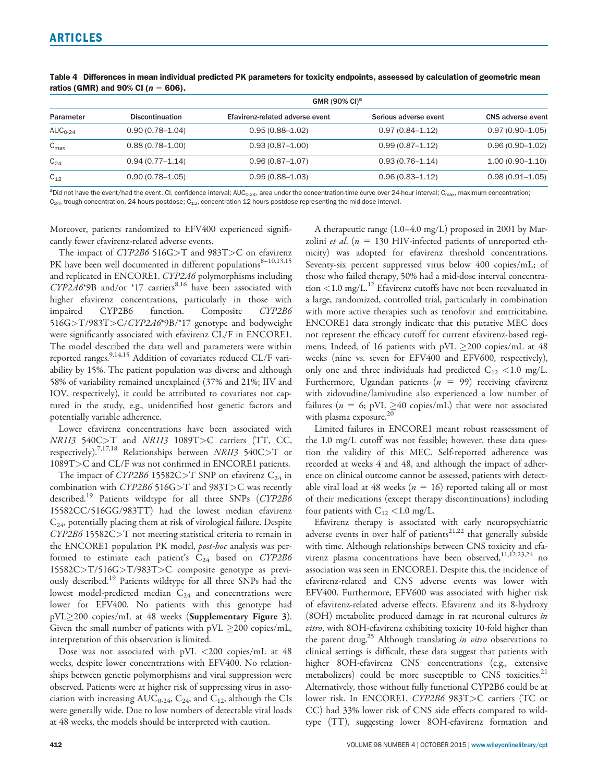|                  | GMR (90% CI) <sup>a</sup> |                                 |                       |                          |
|------------------|---------------------------|---------------------------------|-----------------------|--------------------------|
| Parameter        | <b>Discontinuation</b>    | Efavirenz-related adverse event | Serious adverse event | <b>CNS adverse event</b> |
| $AUC_{0.24}$     | $0.90(0.78 - 1.04)$       | $0.95(0.88 - 1.02)$             | $0.97(0.84 - 1.12)$   | $0.97(0.90-1.05)$        |
| $C_{\text{max}}$ | $0.88(0.78 - 1.00)$       | $0.93(0.87 - 1.00)$             | $0.99(0.87 - 1.12)$   | $0.96(0.90 - 1.02)$      |
| $C_{24}$         | $0.94(0.77 - 1.14)$       | $0.96(0.87 - 1.07)$             | $0.93(0.76 - 1.14)$   | $1.00(0.90 - 1.10)$      |
| $C_{12}$         | $0.90(0.78 - 1.05)$       | $0.95(0.88 - 1.03)$             | $0.96(0.83 - 1.12)$   | $0.98(0.91 - 1.05)$      |

# Table 4 Differences in mean individual predicted PK parameters for toxicity endpoints, assessed by calculation of geometric mean ratios (GMR) and 90% CI ( $n = 606$ ).

 $a_{\text{Did}}$  not have the event/had the event. CI, confidence interval; AUC<sub>0-24</sub>, area under the concentration-time curve over 24-hour interval; C<sub>max</sub>, maximum concentration;  $C_{24}$ , trough concentration, 24 hours postdose;  $C_{12}$ , concentration 12 hours postdose representing the mid-dose interval.

Moreover, patients randomized to EFV400 experienced significantly fewer efavirenz-related adverse events.

The impact of CYP2B6 516G>T and 983T>C on efavirenz PK have been well documented in different populations<sup>8-10,13,15</sup> and replicated in ENCORE1. CYP2A6 polymorphisms including  $CYP2A6*9B$  and/or  $*17$  carriers<sup>8,16</sup> have been associated with higher efavirenz concentrations, particularly in those with impaired CYP2B6 function. Composite CYP2B6 516G>T/983T>C/CYP2A6\*9B/\*17 genotype and bodyweight were significantly associated with efavirenz CL/F in ENCORE1. The model described the data well and parameters were within reported ranges.<sup>9,14,15</sup> Addition of covariates reduced CL/F variability by 15%. The patient population was diverse and although 58% of variability remained unexplained (37% and 21%; IIV and IOV, respectively), it could be attributed to covariates not captured in the study, e.g., unidentified host genetic factors and potentially variable adherence.

Lower efavirenz concentrations have been associated with NR1I3 540C>T and NR1I3 1089T>C carriers (TT, CC, respectively).7,17,18 Relationships between NRII3 540C>T or 1089T>C and CL/F was not confirmed in ENCORE1 patients.

The impact of CYP2B6 15582C>T SNP on efavirenz  $C_{24}$  in combination with CYP2B6 516G>T and 983T>C was recently described.<sup>19</sup> Patients wildtype for all three SNPs (CYP2B6 15582CC/516GG/983TT) had the lowest median efavirenz  $C_{24}$ , potentially placing them at risk of virological failure. Despite CYP2B6 15582C>T not meeting statistical criteria to remain in the ENCORE1 population PK model, *post-hoc* analysis was performed to estimate each patient's  $C_{24}$  based on  $\textit{CYP2B6}$ 15582C>T/516G>T/983T>C composite genotype as previously described.<sup>19</sup> Patients wildtype for all three SNPs had the lowest model-predicted median  $C_{24}$  and concentrations were lower for EFV400. No patients with this genotype had pVL $\geq$ 200 copies/mL at 48 weeks (Supplementary Figure 3). Given the small number of patients with pVL  $\geq$ 200 copies/mL, interpretation of this observation is limited.

Dose was not associated with pVL <200 copies/mL at 48 weeks, despite lower concentrations with EFV400. No relationships between genetic polymorphisms and viral suppression were observed. Patients were at higher risk of suppressing virus in association with increasing  $AUC_{0.24}$ ,  $C_{24}$ , and  $C_{12}$ , although the CIs were generally wide. Due to low numbers of detectable viral loads at 48 weeks, the models should be interpreted with caution.

A therapeutic range (1.0–4.0 mg/L) proposed in 2001 by Marzolini et al. ( $n = 130$  HIV-infected patients of unreported ethnicity) was adopted for efavirenz threshold concentrations. Seventy-six percent suppressed virus below 400 copies/mL; of those who failed therapy, 50% had a mid-dose interval concentration  $<$  1.0 mg/L.<sup>12</sup> Efavirenz cutoffs have not been reevaluated in a large, randomized, controlled trial, particularly in combination with more active therapies such as tenofovir and emtricitabine. ENCORE1 data strongly indicate that this putative MEC does not represent the efficacy cutoff for current efavirenz-based regimens. Indeed, of 16 patients with pVL  $\geq$ 200 copies/mL at 48 weeks (nine vs. seven for EFV400 and EFV600, respectively), only one and three individuals had predicted  $C_{12}$  <1.0 mg/L. Furthermore, Ugandan patients ( $n = 99$ ) receiving efavirenz with zidovudine/lamivudine also experienced a low number of failures ( $n = 6$ ; pVL  $\geq$ 40 copies/mL) that were not associated with plasma exposure.<sup>20</sup>

Limited failures in ENCORE1 meant robust reassessment of the 1.0 mg/L cutoff was not feasible; however, these data question the validity of this MEC. Self-reported adherence was recorded at weeks 4 and 48, and although the impact of adherence on clinical outcome cannot be assessed, patients with detectable viral load at 48 weeks ( $n = 16$ ) reported taking all or most of their medications (except therapy discontinuations) including four patients with  $C_{12}$  < 1.0 mg/L.

Efavirenz therapy is associated with early neuropsychiatric adverse events in over half of patients<sup>21,22</sup> that generally subside with time. Although relationships between CNS toxicity and efavirenz plasma concentrations have been observed,<sup>11,12,23,24</sup> no association was seen in ENCORE1. Despite this, the incidence of efavirenz-related and CNS adverse events was lower with EFV400. Furthermore, EFV600 was associated with higher risk of efavirenz-related adverse effects. Efavirenz and its 8-hydroxy (8OH) metabolite produced damage in rat neuronal cultures in vitro, with 8OH-efavirenz exhibiting toxicity 10-fold higher than the parent drug.<sup>25</sup> Although translating in vitro observations to clinical settings is difficult, these data suggest that patients with higher 8OH-efavirenz CNS concentrations (e.g., extensive metabolizers) could be more susceptible to CNS toxicities.<sup>21</sup> Alternatively, those without fully functional CYP2B6 could be at lower risk. In ENCORE1, CYP2B6 983T>C carriers (TC or CC) had 33% lower risk of CNS side effects compared to wildtype (TT), suggesting lower 8OH-efavirenz formation and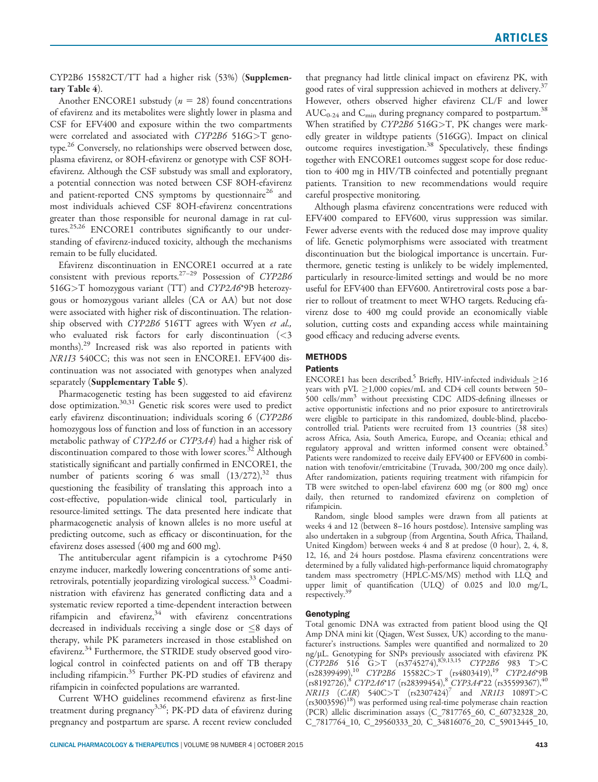CYP2B6 15582CT/TT had a higher risk (53%) (Supplementary Table 4).

Another ENCORE1 substudy ( $n = 28$ ) found concentrations of efavirenz and its metabolites were slightly lower in plasma and CSF for EFV400 and exposure within the two compartments were correlated and associated with CYP2B6 516G>T genotype.<sup>26</sup> Conversely, no relationships were observed between dose, plasma efavirenz, or 8OH-efavirenz or genotype with CSF 8OHefavirenz. Although the CSF substudy was small and exploratory, a potential connection was noted between CSF 8OH-efavirenz and patient-reported CNS symptoms by questionnaire<sup>26</sup> and most individuals achieved CSF 8OH-efavirenz concentrations greater than those responsible for neuronal damage in rat cultures.25,26 ENCORE1 contributes significantly to our understanding of efavirenz-induced toxicity, although the mechanisms remain to be fully elucidated.

Efavirenz discontinuation in ENCORE1 occurred at a rate consistent with previous reports.<sup>27-29</sup> Possession of CYP2B6 516G>T homozygous variant (TT) and CYP2A6\*9B heterozygous or homozygous variant alleles (CA or AA) but not dose were associated with higher risk of discontinuation. The relationship observed with CYP2B6 516TT agrees with Wyen et al., who evaluated risk factors for early discontinuation (<3 months).<sup>29</sup> Increased risk was also reported in patients with NR1I3 540CC; this was not seen in ENCORE1. EFV400 discontinuation was not associated with genotypes when analyzed separately (Supplementary Table 5).

Pharmacogenetic testing has been suggested to aid efavirenz dose optimization.<sup>30,31</sup> Genetic risk scores were used to predict early efavirenz discontinuation; individuals scoring 6 (CYP2B6 homozygous loss of function and loss of function in an accessory metabolic pathway of CYP2A6 or CYP3A4) had a higher risk of discontinuation compared to those with lower scores.<sup>32</sup> Although statistically significant and partially confirmed in ENCORE1, the number of patients scoring 6 was small  $(13/272)^{32}$  thus questioning the feasibility of translating this approach into a cost-effective, population-wide clinical tool, particularly in resource-limited settings. The data presented here indicate that pharmacogenetic analysis of known alleles is no more useful at predicting outcome, such as efficacy or discontinuation, for the efavirenz doses assessed (400 mg and 600 mg).

The antitubercular agent rifampicin is a cytochrome P450 enzyme inducer, markedly lowering concentrations of some antiretrovirals, potentially jeopardizing virological success.<sup>33</sup> Coadministration with efavirenz has generated conflicting data and a systematic review reported a time-dependent interaction between  $r$ ifampicin and efavirenz,  $34$  with efavirenz concentrations decreased in individuals receiving a single dose or  $\leq 8$  days of therapy, while PK parameters increased in those established on efavirenz.<sup>34</sup> Furthermore, the STRIDE study observed good virological control in coinfected patients on and off TB therapy including rifampicin.<sup>35</sup> Further PK-PD studies of efavirenz and rifampicin in coinfected populations are warranted.

Current WHO guidelines recommend efavirenz as first-line treatment during pregnancy<sup>3,36</sup>; PK-PD data of efavirenz during pregnancy and postpartum are sparse. A recent review concluded that pregnancy had little clinical impact on efavirenz PK, with good rates of viral suppression achieved in mothers at delivery.<sup>37</sup> However, others observed higher efavirenz CL/F and lower  $AUC_{0.24}$  and  $C_{\min}$  during pregnancy compared to postpartum.<sup>38</sup> When stratified by CYP2B6 516G>T, PK changes were markedly greater in wildtype patients (516GG). Impact on clinical outcome requires investigation.<sup>38</sup> Speculatively, these findings together with ENCORE1 outcomes suggest scope for dose reduction to 400 mg in HIV/TB coinfected and potentially pregnant patients. Transition to new recommendations would require careful prospective monitoring.

Although plasma efavirenz concentrations were reduced with EFV400 compared to EFV600, virus suppression was similar. Fewer adverse events with the reduced dose may improve quality of life. Genetic polymorphisms were associated with treatment discontinuation but the biological importance is uncertain. Furthermore, genetic testing is unlikely to be widely implemented, particularly in resource-limited settings and would be no more useful for EFV400 than EFV600. Antiretroviral costs pose a barrier to rollout of treatment to meet WHO targets. Reducing efavirenz dose to 400 mg could provide an economically viable solution, cutting costs and expanding access while maintaining good efficacy and reducing adverse events.

# METHODS

# **Patients**

ENCORE1 has been described.<sup>5</sup> Briefly, HIV-infected individuals  $\geq$ 16 years with pVL  $\geq$ 1,000 copies/mL and CD4 cell counts between 50– 500 cells/mm<sup>3</sup> without preexisting CDC AIDS-defining illnesses or active opportunistic infections and no prior exposure to antiretrovirals were eligible to participate in this randomized, double-blind, placebocontrolled trial. Patients were recruited from 13 countries (38 sites) across Africa, Asia, South America, Europe, and Oceania; ethical and regulatory approval and written informed consent were obtained.<sup>5</sup> Patients were randomized to receive daily EFV400 or EFV600 in combination with tenofovir/emtricitabine (Truvada, 300/200 mg once daily). After randomization, patients requiring treatment with rifampicin for TB were switched to open-label efavirenz 600 mg (or 800 mg) once daily, then returned to randomized efavirenz on completion of rifampicin.

Random, single blood samples were drawn from all patients at weeks 4 and 12 (between 8–16 hours postdose). Intensive sampling was also undertaken in a subgroup (from Argentina, South Africa, Thailand, United Kingdom) between weeks 4 and 8 at predose (0 hour), 2, 4, 8, 12, 16, and 24 hours postdose. Plasma efavirenz concentrations were determined by a fully validated high-performance liquid chromatography tandem mass spectrometry (HPLC-MS/MS) method with LLQ and upper limit of quantification (ULQ) of 0.025 and l0.0 mg/L, respectively.<sup>3</sup>

# Genotyping

Total genomic DNA was extracted from patient blood using the QI Amp DNA mini kit (Qiagen, West Sussex, UK) according to the manufacturer's instructions. Samples were quantified and normalized to 20 ng/lL. Genotyping for SNPs previously associated with efavirenz PK  $(CYP2B6 \quad 516 \quad G>T \quad (rs3745274),$ <sup>8,9,13,15</sup>  $CYP2B6 \quad 983 \quad T>C$  $\text{(rs28399499)}$ ,<sup>10</sup> CYP2B6 15582C>T (rs4803419),<sup>19</sup> CYP2A6\*9B  $($ rs8192726), $^{8}$  CYP2A6\*17 (rs28399454), $^{8}$  CYP3A4\*22 (rs35599367), $^{40}$  $NR113$   $(CAR)$  540C>T  $(rs2307424)^7$  and  $NR113$  1089T>C  $(rs3003596)^{18})$  was performed using real-time polymerase chain reaction (PCR) allelic discrimination assays (C\_7817765\_60, C\_60732328\_20, C\_7817764\_10, C\_29560333\_20, C\_34816076\_20, C\_59013445\_10,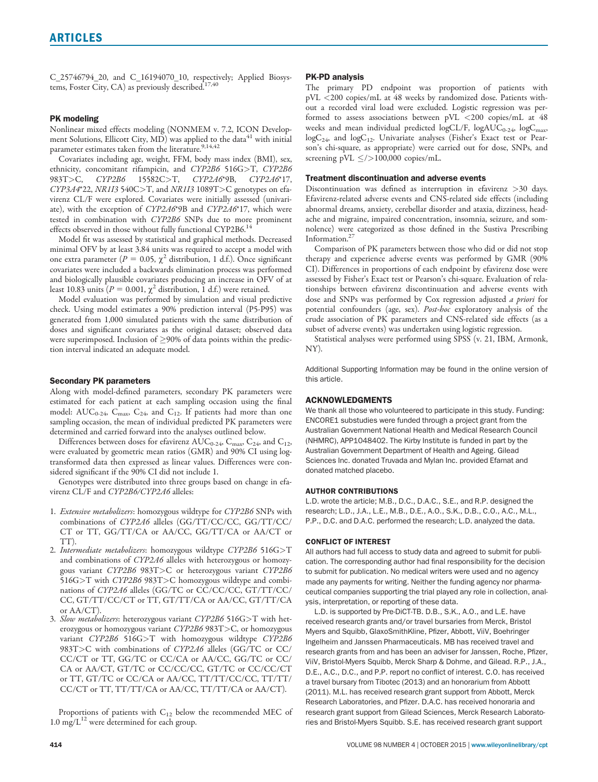C\_25746794\_20, and C\_16194070\_10, respectively; Applied Biosystems, Foster City, CA) as previously described.<sup>17,40</sup>

#### PK modeling

Nonlinear mixed effects modeling (NONMEM v. 7.2, ICON Development Solutions, Ellicott City, MD) was applied to the data<sup>41</sup> with initial parameter estimates taken from the literature.<sup>9,14,42</sup>

Covariates including age, weight, FFM, body mass index (BMI), sex, ethnicity, concomitant rifampicin, and CYP2B6 516G>T, CYP2B6 983T>C, CYP2B6 15582C>T, CYP2A6\*9B, CYP2A6\*17, CYP3A4\*22, NR1I3 540C>T, and NR1I3 1089T>C genotypes on efavirenz CL/F were explored. Covariates were initially assessed (univariate), with the exception of CYP2A6\*9B and CYP2A6\*17, which were tested in combination with CYP2B6 SNPs due to more prominent effects observed in those without fully functional CYP2B6.<sup>1</sup>

Model fit was assessed by statistical and graphical methods. Decreased minimal OFV by at least 3.84 units was required to accept a model with one extra parameter ( $P = 0.05$ ,  $\chi^2$  distribution, 1 d.f.). Once significant covariates were included a backwards elimination process was performed and biologically plausible covariates producing an increase in OFV of at least 10.83 units ( $P = 0.001$ ,  $\chi^2$  distribution, 1 d.f.) were retained.

Model evaluation was performed by simulation and visual predictive check. Using model estimates a 90% prediction interval (P5-P95) was generated from 1,000 simulated patients with the same distribution of doses and significant covariates as the original dataset; observed data were superimposed. Inclusion of  ${\geq} 90\%$  of data points within the prediction interval indicated an adequate model.

#### Secondary PK parameters

Along with model-defined parameters, secondary PK parameters were estimated for each patient at each sampling occasion using the final model:  $AUC_{0.24}$ ,  $C_{\text{max}}$ ,  $C_{24}$ , and  $C_{12}$ . If patients had more than one sampling occasion, the mean of individual predicted PK parameters were determined and carried forward into the analyses outlined below.

Differences between doses for efavirenz  $\text{AUC}_{0.24}$ ,  $\text{C}_{\text{max}}$ ,  $\text{C}_{24}$ , and  $\text{C}_{12}$ , were evaluated by geometric mean ratios (GMR) and 90% CI using logtransformed data then expressed as linear values. Differences were considered significant if the 90% CI did not include 1.

Genotypes were distributed into three groups based on change in efavirenz CL/F and CYP2B6/CYP2A6 alleles:

- 1. *Extensive metabolizers*: homozygous wildtype for *CYP2B6* SNPs with combinations of CYP2A6 alleles (GG/TT/CC/CC, GG/TT/CC/ CT or TT, GG/TT/CA or AA/CC, GG/TT/CA or AA/CT or TT).
- 2. Intermediate metabolizers: homozygous wildtype CYP2B6 516G>T and combinations of CYP2A6 alleles with heterozygous or homozygous variant CYP2B6 983T>C or heterozygous variant CYP2B6 516G>T with CYP2B6 983T>C homozygous wildtype and combinations of CYP2A6 alleles (GG/TC or CC/CC/CC, GT/TT/CC/ CC, GT/TT/CC/CT or TT, GT/TT/CA or AA/CC, GT/TT/CA or AA/CT).
- 3. Slow metabolizers: heterozygous variant CYP2B6 516G>T with heterozygous or homozygous variant CYP2B6 983T>C, or homozygous variant CYP2B6 516G>T with homozygous wildtype CYP2B6 983T>C with combinations of CYP2A6 alleles (GG/TC or CC/ CC/CT or TT, GG/TC or CC/CA or AA/CC, GG/TC or CC/ CA or AA/CT, GT/TC or CC/CC/CC, GT/TC or CC/CC/CT or TT, GT/TC or CC/CA or AA/CC, TT/TT/CC/CC, TT/TT/ CC/CT or TT, TT/TT/CA or AA/CC, TT/TT/CA or AA/CT).

Proportions of patients with C<sub>12</sub> below the recommended MEC of 1.0 mg/ $L^{12}$  were determined for each group.

### PK-PD analysis

The primary PD endpoint was proportion of patients with pVL <200 copies/mL at 48 weeks by randomized dose. Patients without a recorded viral load were excluded. Logistic regression was performed to assess associations between pVL <200 copies/mL at 48 weeks and mean individual predicted logCL/F, logAUC<sub>0-24</sub>, logC<sub>max</sub>, logC<sub>24</sub>, and logC<sub>12</sub>. Univariate analyses (Fisher's Exact test or Pearson's chi-square, as appropriate) were carried out for dose, SNPs, and screening pVL  $\le$ />100,000 copies/mL.

#### Treatment discontinuation and adverse events

Discontinuation was defined as interruption in efavirenz >30 days. Efavirenz-related adverse events and CNS-related side effects (including abnormal dreams, anxiety, cerebellar disorder and ataxia, dizziness, headache and migraine, impaired concentration, insomnia, seizure, and somnolence) were categorized as those defined in the Sustiva Prescribing Information.<sup>27</sup>

Comparison of PK parameters between those who did or did not stop therapy and experience adverse events was performed by GMR (90% CI). Differences in proportions of each endpoint by efavirenz dose were assessed by Fisher's Exact test or Pearson's chi-square. Evaluation of relationships between efavirenz discontinuation and adverse events with dose and SNPs was performed by Cox regression adjusted a priori for potential confounders (age, sex). Post-hoc exploratory analysis of the crude association of PK parameters and CNS-related side effects (as a subset of adverse events) was undertaken using logistic regression.

Statistical analyses were performed using SPSS (v. 21, IBM, Armonk, NY).

Additional Supporting Information may be found in the online version of this article.

#### ACKNOWLEDGMENTS

We thank all those who volunteered to participate in this study. Funding: ENCORE1 substudies were funded through a project grant from the Australian Government National Health and Medical Research Council (NHMRC), APP1048402. The Kirby Institute is funded in part by the Australian Government Department of Health and Ageing. Gilead Sciences Inc. donated Truvada and Mylan Inc. provided Efamat and donated matched placebo.

#### AUTHOR CONTRIBUTIONS

L.D. wrote the article; M.B., D.C., D.A.C., S.E., and R.P. designed the research; L.D., J.A., L.E., M.B., D.E., A.O., S.K., D.B., C.O., A.C., M.L., P.P., D.C. and D.A.C. performed the research; L.D. analyzed the data.

#### CONFLICT OF INTEREST

All authors had full access to study data and agreed to submit for publication. The corresponding author had final responsibility for the decision to submit for publication. No medical writers were used and no agency made any payments for writing. Neither the funding agency nor pharmaceutical companies supporting the trial played any role in collection, analysis, interpretation, or reporting of these data.

L.D. is supported by Pre-DiCT-TB. D.B., S.K., A.O., and L.E. have received research grants and/or travel bursaries from Merck, Bristol Myers and Squibb, GlaxoSmithKline, Pfizer, Abbott, ViiV, Boehringer Ingelheim and Janssen Pharmaceuticals. MB has received travel and research grants from and has been an adviser for Janssen, Roche, Pfizer, ViiV, Bristol-Myers Squibb, Merck Sharp & Dohme, and Gilead. R.P., J.A., D.E., A.C., D.C., and P.P. report no conflict of interest. C.O. has received a travel bursary from Tibotec (2013) and an honorarium from Abbott (2011). M.L. has received research grant support from Abbott, Merck Research Laboratories, and Pfizer. D.A.C. has received honoraria and research grant support from Gilead Sciences, Merck Research Laboratories and Bristol-Myers Squibb. S.E. has received research grant support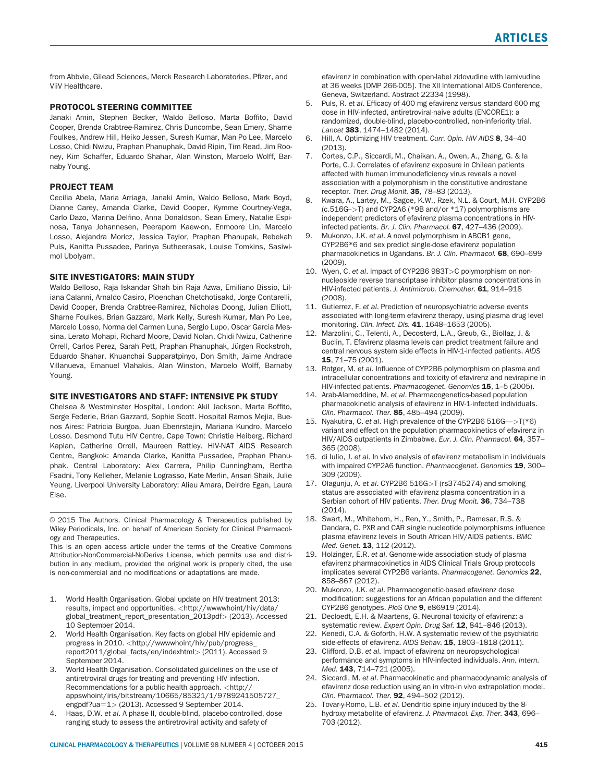from Abbvie, Gilead Sciences, Merck Research Laboratories, Pfizer, and ViiV Healthcare.

### PROTOCOL STEERING COMMITTEE

Janaki Amin, Stephen Becker, Waldo Belloso, Marta Boffito, David Cooper, Brenda Crabtree-Ramirez, Chris Duncombe, Sean Emery, Sharne Foulkes, Andrew Hill, Heiko Jessen, Suresh Kumar, Man Po Lee, Marcelo Losso, Chidi Nwizu, Praphan Phanuphak, David Ripin, Tim Read, Jim Rooney, Kim Schaffer, Eduardo Shahar, Alan Winston, Marcelo Wolff, Barnaby Young.

# PROJECT TEAM

Cecilia Abela, Maria Arriaga, Janaki Amin, Waldo Belloso, Mark Boyd, Dianne Carey, Amanda Clarke, David Cooper, Kymme Courtney-Vega, Carlo Dazo, Marina Delfino, Anna Donaldson, Sean Emery, Natalie Espinosa, Tanya Johannesen, Peeraporn Kaew-on, Enmoore Lin, Marcelo Losso, Alejandra Moricz, Jessica Taylor, Praphan Phanupak, Rebekah Puls, Kanitta Pussadee, Parinya Sutheerasak, Louise Tomkins, Sasiwimol Ubolyam.

#### SITE INVESTIGATORS: MAIN STUDY

Waldo Belloso, Raja Iskandar Shah bin Raja Azwa, Emiliano Bissio, Liliana Calanni, Arnaldo Casiro, Ploenchan Chetchotisakd, Jorge Contarelli, David Cooper, Brenda Crabtree-Ramirez, Nicholas Doong, Julian Elliott, Sharne Foulkes, Brian Gazzard, Mark Kelly, Suresh Kumar, Man Po Lee, Marcelo Losso, Norma del Carmen Luna, Sergio Lupo, Oscar Garcia Messina, Lerato Mohapi, Richard Moore, David Nolan, Chidi Nwizu, Catherine Orrell, Carlos Perez, Sarah Pett, Praphan Phanuphak, Jürgen Rockstroh, Eduardo Shahar, Khuanchai Supparatpinyo, Don Smith, Jaime Andrade Villanueva, Emanuel Vlahakis, Alan Winston, Marcelo Wolff, Barnaby Young.

# SITE INVESTIGATORS AND STAFF: INTENSIVE PK STUDY

Chelsea & Westminster Hospital, London: Akil Jackson, Marta Boffito, Serge Federle, Brian Gazzard, Sophie Scott. Hospital Ramos Mejia, Buenos Aires: Patricia Burgoa, Juan Ebenrstejin, Mariana Kundro, Marcelo Losso. Desmond Tutu HIV Centre, Cape Town: Christie Heiberg, Richard Kaplan, Catherine Orrell, Maureen Rattley. HIV-NAT AIDS Research Centre, Bangkok: Amanda Clarke, Kanitta Pussadee, Praphan Phanuphak. Central Laboratory: Alex Carrera, Philip Cunningham, Bertha Fsadni, Tony Kelleher, Melanie Lograsso, Kate Merlin, Ansari Shaik, Julie Yeung. Liverpool University Laboratory: Alieu Amara, Deirdre Egan, Laura Else.

 $©$  2015 The Authors. Clinical Pharmacology & Therapeutics published by Wiley Periodicals, Inc. on behalf of American Society for Clinical Pharmacology and Therapeutics.

This is an open access article under the terms of the Creative Commons Attribution-NonCommercial-NoDerivs License, which permits use and distribution in any medium, provided the original work is properly cited, the use is non-commercial and no modifications or adaptations are made.

- 1. World Health Organisation. Global update on HIV treatment 2013: results, impact and opportunities. <[http://wwwwhoint/hiv/data/](http://wwwwhoint/hiv/data/global_treatment_report_presentation_2013pdf) [global\\_treatment\\_report\\_presentation\\_2013pdf](http://wwwwhoint/hiv/data/global_treatment_report_presentation_2013pdf)> (2013). Accessed 10 September 2014.
- 2. World Health Organisation. Key facts on global HIV epidemic and progress in 2010. <[http://wwwwhoint/hiv/pub/progress\\_](http://wwwwhoint/hiv/pub/progress_report2011/global_facts/en/indexhtml) [report2011/global\\_facts/en/indexhtml](http://wwwwhoint/hiv/pub/progress_report2011/global_facts/en/indexhtml)> (2011). Accessed 9 September 2014.
- 3. World Health Organisation. Consolidated guidelines on the use of antiretroviral drugs for treating and preventing HIV infection. Recommendations for a public health approach. <[http://](http://appswhoint/iris/bitstream/10665/85321/1/9789241505727_engpdf?ua=1) [appswhoint/iris/bitstream/10665/85321/1/9789241505727\\_](http://appswhoint/iris/bitstream/10665/85321/1/9789241505727_engpdf?ua=1) [engpdf?ua](http://appswhoint/iris/bitstream/10665/85321/1/9789241505727_engpdf?ua=1)=[1](http://appswhoint/iris/bitstream/10665/85321/1/9789241505727_engpdf?ua=1)> (2013). Accessed 9 September 2014.
- 4. Haas, D.W. et al. A phase II, double-blind, placebo-controlled, dose ranging study to assess the antiretroviral activity and safety of

efavirenz in combination with open-label zidovudine with lamivudine at 36 weeks [DMP 266-005]. The XII International AIDS Conference, Geneva, Switzerland. Abstract 22334 (1998).

- 5. Puls, R. et al. Efficacy of 400 mg efavirenz versus standard 600 mg dose in HIV-infected, antiretroviral-naive adults (ENCORE1): a randomized, double-blind, placebo-controlled, non-inferiority trial. Lancet 383, 1474-1482 (2014).
- 6. Hill, A. Optimizing HIV treatment. Curr. Opin. HIV AIDS 8, 34–40 (2013).
- 7. Cortes, C.P., Siccardi, M., Chaikan, A., Owen, A., Zhang, G. & la Porte, C.J. Correlates of efavirenz exposure in Chilean patients affected with human immunodeficiency virus reveals a novel association with a polymorphism in the constitutive androstane receptor. Ther. Drug Monit. 35, 78–83 (2013).
- 8. Kwara, A., Lartey, M., Sagoe, K.W., Rzek, N.L. & Court, M.H. CYP2B6  $(c.516G->T)$  and CYP2A6 (\*9B and/or \*17) polymorphisms are independent predictors of efavirenz plasma concentrations in HIVinfected patients. Br. J. Clin. Pharmacol. 67, 427-436 (2009).
- 9. Mukonzo, J.K. et al. A novel polymorphism in ABCB1 gene, CYP2B6\*6 and sex predict single-dose efavirenz population pharmacokinetics in Ugandans. Br. J. Clin. Pharmacol. 68, 690-699 (2009).
- 10. Wyen, C. et al. Impact of CYP2B6 983T>C polymorphism on nonnucleoside reverse transcriptase inhibitor plasma concentrations in HIV-infected patients. J. Antimicrob. Chemother. 61, 914-918 (2008).
- 11. Gutierrez, F. et al. Prediction of neuropsychiatric adverse events associated with long-term efavirenz therapy, using plasma drug level monitoring. Clin. Infect. Dis. 41, 1648-1653 (2005).
- 12. Marzolini, C., Telenti, A., Decosterd, L.A., Greub, G., Biollaz, J. & Buclin, T. Efavirenz plasma levels can predict treatment failure and central nervous system side effects in HIV-1-infected patients. AIDS 15, 71–75 (2001).
- 13. Rotger, M. et al. Influence of CYP2B6 polymorphism on plasma and intracellular concentrations and toxicity of efavirenz and nevirapine in HIV-infected patients. Pharmacogenet. Genomics 15, 1-5 (2005).
- 14. Arab-Alameddine, M. et al. Pharmacogenetics-based population pharmacokinetic analysis of efavirenz in HIV-1-infected individuals. Clin. Pharmacol. Ther. 85, 485-494 (2009).
- 15. Nyakutira, C. et al. High prevalence of the CYP2B6 516G—>T(\*6) variant and effect on the population pharmacokinetics of efavirenz in HIV/AIDS outpatients in Zimbabwe. Eur. J. Clin. Pharmacol. 64, 357-365 (2008).
- 16. di Iulio, J. et al. In vivo analysis of efavirenz metabolism in individuals with impaired CYP2A6 function. Pharmacogenet. Genomics 19, 300-309 (2009).
- 17. Olagunju, A. et al. CYP2B6 516G>T (rs3745274) and smoking status are associated with efavirenz plasma concentration in a Serbian cohort of HIV patients. Ther. Drug Monit. 36, 734–738 (2014).
- 18. Swart, M., Whitehorn, H., Ren, Y., Smith, P., Ramesar, R.S. & Dandara, C. PXR and CAR single nucleotide polymorphisms influence plasma efavirenz levels in South African HIV/AIDS patients. BMC Med. Genet. **13**, 112 (2012).
- 19. Holzinger, E.R. et al. Genome-wide association study of plasma efavirenz pharmacokinetics in AIDS Clinical Trials Group protocols implicates several CYP2B6 variants. Pharmacogenet. Genomics 22, 858–867 (2012).
- 20. Mukonzo, J.K. et al. Pharmacogenetic-based efavirenz dose modification: suggestions for an African population and the different CYP2B6 genotypes. PloS One 9, e86919 (2014).
- 21. Decloedt, E.H. & Maartens, G. Neuronal toxicity of efavirenz: a systematic review. Expert Opin. Drug Saf. 12, 841-846 (2013).
- 22. Kenedi, C.A. & Goforth, H.W. A systematic review of the psychiatric side-effects of efavirenz. AIDS Behav. 15, 1803-1818 (2011).
- 23. Clifford, D.B. et al. Impact of efavirenz on neuropsychological performance and symptoms in HIV-infected individuals. Ann. Intern. Med. 143, 714-721 (2005).
- 24. Siccardi, M. et al. Pharmacokinetic and pharmacodynamic analysis of efavirenz dose reduction using an in vitro-in vivo extrapolation model. Clin. Pharmacol. Ther. 92, 494–502 (2012).
- 25. Tovar-y-Romo, L.B. et al. Dendritic spine injury induced by the 8 hydroxy metabolite of efavirenz. J. Pharmacol. Exp. Ther. 343, 696-703 (2012).